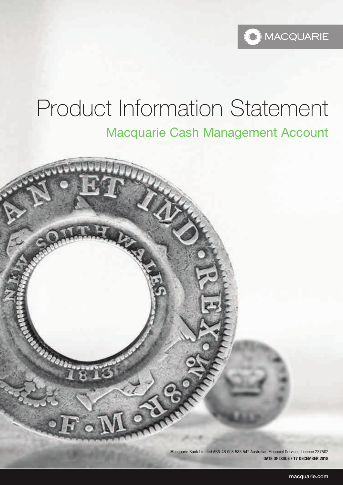

# Product Information Statement Macquarie Cash Management Account



Macquarie Bank Limited ABN 46 008 583 542 Australian Financial Services Licence 237502 **DATE OF ISSUE / 17 DECEMBER 2018**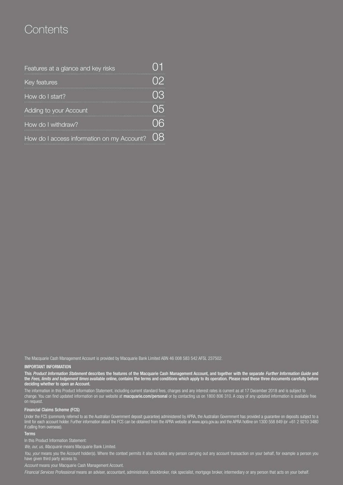# **Contents**

| Features at a glance and key risks         |    |
|--------------------------------------------|----|
| Key features                               |    |
| How do I start?                            |    |
| Adding to your Account                     | 05 |
| How do I withdraw?                         | 06 |
| How do I access information on my Account? |    |

The Macquarie Cash Management Account is provided by Macquarie Bank Limited ABN 46 008 583 542 AFSL 237502.

#### IMPORTANT INFORMATION

This *Product Information Statement* describes the features of the Macquarie Cash Management Account, and together with the separate *Further Information Guide* and the *Fees, limits and lodgement times* available online, contains the terms and conditions which apply to its operation. Please read these three documents carefully before deciding whether to open an Account.

The information in this Product Information Statement, including current standard fees, charges and any interest rates is current as at 17 December 2018 and is subject to change. You can find updated information on our website at **[macquarie.com/personal](www.macquarie.com/personal)** or by contacting us on 1800 806 310. A copy of any updated information is available free on request.

#### Financial Claims Scheme (FCS)

Under the FCS (commonly referred to as the Australian Government deposit guarantee) administered by APRA, the Australian Government has provided a guarantee on deposits subject to a limit for each account holder. Further information about the FCS can be obtained from the APRA website at<www.apra.gov.au>and the APRA hotline on 1300 558 849 (or +61 2 9210 3480 if calling from overseas).

#### Terms

In this Product Information Statement:

*We, our, us, Macquarie* means Macquarie Bank Limited.

You, your means you the Account holder(s). Where the context permits it also includes any person carrying out any account transaction on your behalf, for example a person you have given third party access to.

*Account* means your Macquarie Cash Management Account.

*Financial Services Professional* means an adviser, accountant, administrator, stockbroker, risk specialist, mortgage broker, intermediary or any person that acts on your behalf.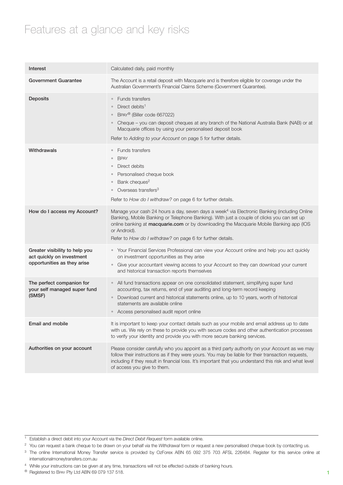# Features at a glance and key risks

| Interest                                                                                   | Calculated daily, paid monthly                                                                                                                                                                                                                                                                                                                                                  |
|--------------------------------------------------------------------------------------------|---------------------------------------------------------------------------------------------------------------------------------------------------------------------------------------------------------------------------------------------------------------------------------------------------------------------------------------------------------------------------------|
| <b>Government Guarantee</b>                                                                | The Account is a retail deposit with Macquarie and is therefore eligible for coverage under the<br>Australian Government's Financial Claims Scheme (Government Guarantee).                                                                                                                                                                                                      |
| <b>Deposits</b>                                                                            | <b>Funds transfers</b><br>Direct debits <sup>1</sup><br>BPAY® (Biller code 667022)<br>Cheque - you can deposit cheques at any branch of the National Australia Bank (NAB) or at<br>Macquarie offices by using your personalised deposit book<br>Refer to Adding to your Account on page 5 for further details.                                                                  |
| Withdrawals                                                                                | Funds transfers<br><b>BPAY</b><br>$\circ$<br>Direct debits<br>$\circ$<br>Personalised cheque book<br>Bank cheques <sup>2</sup><br>$\circ$<br>Overseas transfers <sup>3</sup><br>Refer to How do I withdraw? on page 6 for further details.                                                                                                                                      |
| How do I access my Account?                                                                | Manage your cash 24 hours a day, seven days a week <sup>4</sup> via Electronic Banking (including Online<br>Banking, Mobile Banking or Telephone Banking). With just a couple of clicks you can set up<br>online banking at macquarie.com or by downloading the Macquarie Mobile Banking app (IOS<br>or Android).<br>Refer to How do I withdraw? on page 6 for further details. |
| Greater visibility to help you<br>act quickly on investment<br>opportunities as they arise | Your Financial Services Professional can view your Account online and help you act quickly<br>$\bullet$ .<br>on investment opportunities as they arise<br>Give your accountant viewing access to your Account so they can download your current<br>$\circ$<br>and historical transaction reports themselves                                                                     |
| The perfect companion for<br>your self managed super fund<br>(SMSF)                        | All fund transactions appear on one consolidated statement, simplifying super fund<br>accounting, tax returns, end of year auditing and long-term record keeping<br>Download current and historical statements online, up to 10 years, worth of historical<br>$\circ$<br>statements are available online<br>Access personalised audit report online                             |
| Email and mobile                                                                           | It is important to keep your contact details such as your mobile and email address up to date<br>with us. We rely on these to provide you with secure codes and other authentication processes<br>to verify your identity and provide you with more secure banking services.                                                                                                    |
| Authorities on your account                                                                | Please consider carefully who you appoint as a third party authority on your Account as we may<br>follow their instructions as if they were yours. You may be liable for their transaction requests,<br>including if they result in financial loss. It's important that you understand this risk and what level<br>of access you give to them.                                  |

<sup>1</sup> Establish a direct debit into your Account via the *Direct Debit Request* form available online.

- <sup>2</sup> You can request a bank cheque to be drawn on your behalf via the Withdrawal form or request a new personalised cheque book by contacting us.
- <sup>3</sup> The online International Money Transfer service is provided by OzForex ABN 65 092 375 703 AFSL 226484. Register for this service online at <internationalmoneytransfers.com.au>

® Registered to BPAY Pty Ltd ABN 69 079 137 518.

<sup>4</sup> While your instructions can be given at any time, transactions will not be effected outside of banking hours.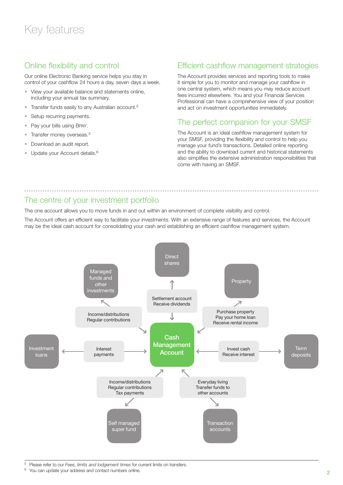### Online flexibility and control

Our online Electronic Banking service helps you stay in control of your cashflow 24 hours a day, seven days a week.

- View your available balance and statements online, including your annual tax summary.
- Transfer funds easily to any Australian account.<sup>5</sup>
- Setup recurring payments.
- Pay your bills using BPAY.
- Transfer money overseas.<sup>3</sup>
- Download an audit report.
- Update your Account details.<sup>6</sup>

### Efficient cashflow management strategies

The Account provides services and reporting tools to make it simple for you to monitor and manage your cashflow in one central system, which means you may reduce account fees incurred elsewhere. You and your Financial Services Professional can have a comprehensive view of your position and act on investment opportunities immediately.

### The perfect companion for your SMSF

The Account is an ideal cashflow management system for your SMSF, providing the flexibility and control to help you manage your fund's transactions. Detailed online reporting and the ability to download current and historical statements also simplifies the extensive administration responsibilities that come with having an SMSF.

### The centre of your investment portfolio

The one account allows you to move funds in and out within an environment of complete visibility and control.

The Account offers an efficient way to facilitate your investments. With an extensive range of features and services, the Account may be the ideal cash account for consolidating your cash and establishing an efficient cashflow management system.



<sup>5</sup> Please refer to our *Fees, limits and lodgement times* for current limits on transfers.

<sup>6</sup> You can update your address and contact numbers online.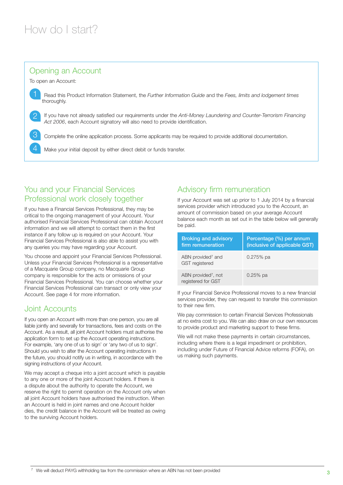### Opening an Account

To open an Account:

1 Read this Product Information Statement, the *Further Information Guide* and the *Fees, limits and lodgement times* thoroughly.

2 If you have not already satisfied our requirements under the *Anti-Money Laundering and Counter-Terrorism Financing Act 2006*, each Account signatory will also need to provide identification.

3 Complete the online application process. Some applicants may be required to provide additional documentation.

Make your initial deposit by either direct debit or funds transfer.

### You and your Financial Services Professional work closely together

If you have a Financial Services Professional, they may be critical to the ongoing management of your Account. Your authorised Financial Services Professional can obtain Account information and we will attempt to contact them in the first instance if any follow up is required on your Account. Your Financial Services Professional is also able to assist you with any queries you may have regarding your Account.

You choose and appoint your Financial Services Professional. Unless your Financial Services Professional is a representative of a Macquarie Group company, no Macquarie Group company is responsible for the acts or omissions of your Financial Services Professional. You can choose whether your Financial Services Professional can transact or only view your Account. See page 4 for more information.

### Joint Accounts

If you open an Account with more than one person, you are all liable jointly and severally for transactions, fees and costs on the Account. As a result, all joint Account holders must authorise the application form to set up the Account operating instructions. For example, 'any one of us to sign' or 'any two of us to sign'. Should you wish to alter the Account operating instructions in the future, you should notify us in writing, in accordance with the signing instructions of your Account.

We may accept a cheque into a joint account which is payable to any one or more of the joint Account holders. If there is a dispute about the authority to operate the Account, we reserve the right to permit operation on the Account only when all joint Account holders have authorised the instruction. When an Account is held in joint names and one Account holder dies, the credit balance in the Account will be treated as owing to the surviving Account holders.

### Advisory firm remuneration

If your Account was set up prior to 1 July 2014 by a financial services provider which introduced you to the Account, an amount of commission based on your average Account balance each month as set out in the table below will generally be paid.

| <b>Broking and advisory</b><br>firm remuneration       | Percentage (%) per annum<br>(inclusive of applicable GST) |
|--------------------------------------------------------|-----------------------------------------------------------|
| ABN provided <sup>7</sup> and<br><b>GST</b> registered | $0.275%$ pa                                               |
| ABN provided <sup>7</sup> , not<br>registered for GST  | $0.25%$ pa                                                |

If your Financial Service Professional moves to a new financial services provider, they can request to transfer this commission to their new firm.

We pay commission to certain Financial Services Professionals at no extra cost to you. We can also draw on our own resources to provide product and marketing support to these firms.

We will not make these payments in certain circumstances, including where there is a legal impediment or prohibition, including under Future of Financial Advice reforms (FOFA), on us making such payments.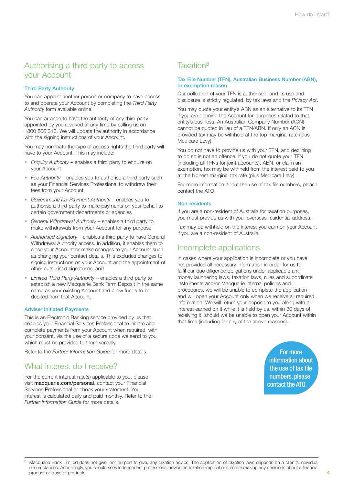### Authorising a third party to access your Account

### Third Party Authority

You can appoint another person or company to have access to and operate your Account by completing the *Third Party Authority* form available online.

You can arrange to have the authority of any third party appointed by you revoked at any time by calling us on 1800 806 310. We will update the authority in accordance with the signing instructions of your Account.

You may nominate the type of access rights the third party will have to your Account. This may include:

- *Enquiry Authority* enables a third party to enquire on your Account
- *Fee Authority* enables you to authorise a third party such as your Financial Services Professional to withdraw their fees from your Account
- *Government/Tax Payment Authority* enables you to authorise a third party to make payments on your behalf to certain government departments or agencies
- *General Withdrawal Authority* enables a third party to make withdrawals from your Account for any purpose
- *Authorised Signatory* enables a third party to have General Withdrawal Authority access. In addition, it enables them to close your Account or make changes to your Account such as changing your contact details. This excludes changes to signing instructions on your Account and the appointment of other authorised signatories, and
- *• Limited Third Party Authority*  enables a third party to establish a new Macquarie Bank Term Deposit in the same name as your existing Account and allow funds to be debited from that Account.

#### Adviser Initiated Payments

This is an Electronic Banking service provided by us that enables your Financial Services Professional to initiate and complete payments from your Account when required, with your consent, via the use of a secure code we send to you which must be provided to them verbally.

Refer to the *Further Information Guide* for more details.

### What interest do I receive?

For the current interest rate(s) applicable to you, please visit [macquarie.com/personal](www.macquarie.com/personal), contact your Financial Services Professional or check your statement. Your interest is calculated daily and paid monthly. Refer to the *Further Information Guide* for more details.

### Taxation<sup>8</sup>

#### Tax File Number (TFN), Australian Business Number (ABN), or exemption reason

Our collection of your TFN is authorised, and its use and disclosure is strictly regulated, by tax laws and the *Privacy Act*.

You may quote your entity's ABN as an alternative to its TFN if you are opening the Account for purposes related to that entity's business. An Australian Company Number (ACN) cannot be quoted in lieu of a TFN/ABN. If only an ACN is provided tax may be withheld at the top marginal rate (plus Medicare Levy).

You do not have to provide us with your TFN, and declining to do so is not an offence. If you do not quote your TFN (including all TFNs for joint accounts), ABN, or claim an exemption, tax may be withheld from the interest paid to you at the highest marginal tax rate (plus Medicare Levy).

For more information about the use of tax file numbers, please contact the ATO.

#### Non-residents

If you are a non-resident of Australia for taxation purposes, you must provide us with your overseas residential address.

Tax may be withheld on the interest you earn on your Account if you are a non-resident of Australia.

### Incomplete applications

In cases where your application is incomplete or you have not provided all necessary information in order for us to fulfil our due diligence obligations under applicable antimoney laundering laws, taxation laws, rules and subordinate instruments and/or Macquarie internal policies and procedures, we will be unable to complete the application and will open your Account only when we receive all required information. We will return your deposit to you along with all interest earned on it while it is held by us, within 30 days of receiving it, should we be unable to open your Account within that time (including for any of the above reasons).

> For more information about the use of tax file numbers, please contact the ATO.

<sup>8</sup> Macquarie Bank Limited does not give, nor purport to give, any taxation advice. The application of taxation laws depends on a client's individual circumstances. Accordingly, you should seek independent professional advice on taxation implications before making any decisions about a financial product or class of products.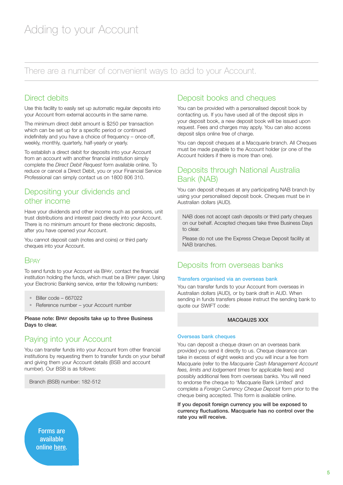There are a number of convenient ways to add to your Account.

### Direct debits

Use this facility to easily set up automatic regular deposits into your Account from external accounts in the same name.

The minimum direct debit amount is \$250 per transaction which can be set up for a specific period or continued indefinitely and you have a choice of frequency – once-off, weekly, monthly, quarterly, half-yearly or yearly.

To establish a direct debit for deposits into your Account from an account with another financial institution simply complete the *Direct Debit Request* form available online. To reduce or cancel a Direct Debit, you or your Financial Service Professional can simply contact us on 1800 806 310.

### Depositing your dividends and other income

Have your dividends and other income such as pensions, unit trust distributions and interest paid directly into your Account. There is no minimum amount for these electronic deposits, after you have opened your Account.

You cannot deposit cash (notes and coins) or third party cheques into your Account.

### **BPAY**

To send funds to your Account via BPAY, contact the financial institution holding the funds, which must be a BPAY payer. Using your Electronic Banking service, enter the following numbers:

- Biller code 667022
- Reference number your Account number

Please note: BPAY deposits take up to three Business Days to clear.

### Paying into your Account

You can transfer funds into your Account from other financial institutions by requesting them to transfer funds on your behalf and giving them your Account details (BSB and account number). Our BSB is as follows:

Branch (BSB) number: 182-512

### Deposit books and cheques

You can be provided with a personalised deposit book by contacting us. If you have used all of the deposit slips in your deposit book, a new deposit book will be issued upon request. Fees and charges may apply. You can also access deposit slips online free of charge.

You can deposit cheques at a Macquarie branch. All Cheques must be made payable to the Account holder (or one of the Account holders if there is more than one).

### Deposits through National Australia Bank (NAB)

You can deposit cheques at any participating NAB branch by using your personalised deposit book. Cheques must be in Australian dollars (AUD).

NAB does not accept cash deposits or third party cheques on our behalf. Accepted cheques take three Business Days to clear.

Please do not use the Express Cheque Deposit facility at NAB branches.

### Deposits from overseas banks

#### Transfers organised via an overseas bank

You can transfer funds to your Account from overseas in Australian dollars (AUD), or by bank draft in AUD. When sending in funds transfers please instruct the sending bank to quote our SWIFT code:

### MACQAU2S XXX

#### Overseas bank cheques

You can deposit a cheque drawn on an overseas bank provided you send it directly to us. Cheque clearance can take in excess of eight weeks and you will incur a fee from Macquarie (refer to the *Macquarie Cash Management Account fees, limits and lodgement times* for applicable fees) and possibly additional fees from overseas banks. You will need to endorse the cheque to 'Macquarie Bank Limited' and complete a *Foreign Currency Cheque Deposit* form prior to the cheque being accepted. This form is available online.

If you deposit foreign currency you will be exposed to currency fluctuations. Macquarie has no control over the rate you will receive.

Forms are available online [here.](https://www.macquarie.com.au/mgl/au/advisers/products-platforms/tools/forms#GDtabs-0-1)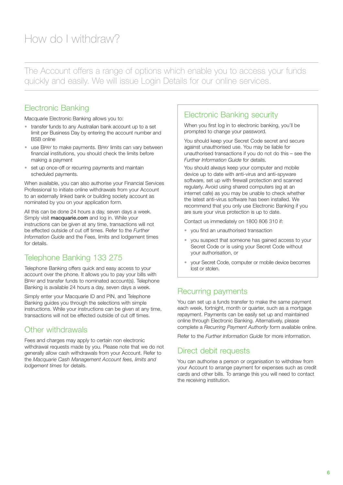The Account offers a range of options which enable you to access your funds quickly and easily. We will issue Login Details for our online services.

### Electronic Banking

Macquarie Electronic Banking allows you to:

- transfer funds to any Australian bank account up to a set limit per Business Day by entering the account number and BSB online
- use BPAY to make payments. BPAY limits can vary between financial institutions, you should check the limits before making a payment
- set up once-off or recurring payments and maintain scheduled payments.

When available, you can also authorise your Financial Services Professional to initiate online withdrawals from your Account to an externally linked bank or building society account as nominated by you on your application form.

All this can be done 24 hours a day, seven days a week. Simply visit **[macquarie.com](macquarie.com.au)** and log in. While your instructions can be given at any time, transactions will not be effected outside of cut off times. Refer to the *Further Information Guide* and the Fees, limits and lodgement times for details.

## Telephone Banking 133 275

Telephone Banking offers quick and easy access to your account over the phone. It allows you to pay your bills with BPAY and transfer funds to nominated account(s). Telephone Banking is available 24 hours a day, seven days a week.

Simply enter your Macquarie ID and PIN, and Telephone Banking guides you through the selections with simple instructions. While your instructions can be given at any time, transactions will not be effected outside of cut off times.

### Other withdrawals

Fees and charges may apply to certain non electronic withdrawal requests made by you. Please note that we do not generally allow cash withdrawals from your Account. Refer to the *Macquarie Cash Management Account fees, limits and lodgement times* for details.

### Electronic Banking security

When you first log in to electronic banking, you'll be prompted to change your password.

You should keep your Secret Code secret and secure against unauthorised use. You may be liable for unauthorised transactions if you do not do this – see the *Further Information Guide* for details.

You should always keep your computer and mobile device up to date with anti-virus and anti-spyware software, set up with firewall protection and scanned regularly. Avoid using shared computers (eg at an internet cafe) as you may be unable to check whether the latest anti-virus software has been installed. We recommend that you only use Electronic Banking if you are sure your virus protection is up to date.

Contact us immediately on 1800 806 310 if:

- you find an unauthorised transaction
- you suspect that someone has gained access to your Secret Code or is using your Secret Code without your authorisation, or
- your Secret Code, computer or mobile device becomes lost or stolen.

### Recurring payments

You can set up a funds transfer to make the same payment each week, fortnight, month or quarter, such as a mortgage repayment. Payments can be easily set up and maintained online through Electronic Banking. Alternatively, please complete a *Recurring Payment Authority* form available online.

Refer to the *Further Information Guide* for more information.

### Direct debit requests

You can authorise a person or organisation to withdraw from your Account to arrange payment for expenses such as credit cards and other bills. To arrange this you will need to contact the receiving institution.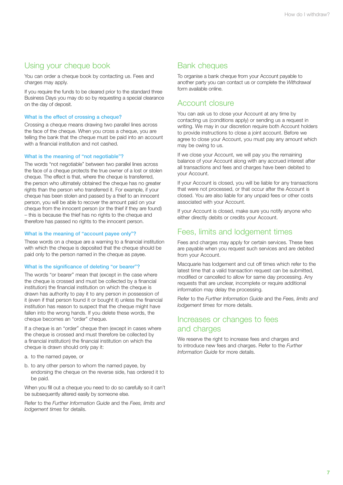### Using your cheque book

You can order a cheque book by contacting us. Fees and charges may apply.

If you require the funds to be cleared prior to the standard three Business Days you may do so by requesting a special clearance on the day of deposit.

#### What is the effect of crossing a cheque?

Crossing a cheque means drawing two parallel lines across the face of the cheque. When you cross a cheque, you are telling the bank that the cheque must be paid into an account with a financial institution and not cashed.

#### What is the meaning of "not negotiable"?

The words "not negotiable" between two parallel lines across the face of a cheque protects the true owner of a lost or stolen cheque. The effect is that, where the cheque is transferred, the person who ultimately obtained the cheque has no greater rights than the person who transferred it. For example, if your cheque has been stolen and passed by a thief to an innocent person, you will be able to recover the amount paid on your cheque from the innocent person (or the thief if they are found) – this is because the thief has no rights to the cheque and therefore has passed no rights to the innocent person.

#### What is the meaning of "account payee only"?

These words on a cheque are a warning to a financial institution with which the cheque is deposited that the cheque should be paid only to the person named in the cheque as payee.

#### What is the significance of deleting "or bearer"?

The words "or bearer" mean that (except in the case where the cheque is crossed and must be collected by a financial institution) the financial institution on which the cheque is drawn has authority to pay it to any person in possession of it (even if that person found it or bought it) unless the financial institution has reason to suspect that the cheque might have fallen into the wrong hands. If you delete these words, the cheque becomes an "order" cheque.

If a cheque is an "order" cheque then (except in cases where the cheque is crossed and must therefore be collected by a financial institution) the financial institution on which the cheque is drawn should only pay it:

- a. to the named payee, or
- b. to any other person to whom the named payee, by endorsing the cheque on the reverse side, has ordered it to be paid.

When you fill out a cheque you need to do so carefully so it can't be subsequently altered easily by someone else.

Refer to the *Further Information Guide* and the *Fees, limits and lodgement times* for details.

### Bank cheques

To organise a bank cheque from your Account payable to another party you can contact us or complete the *Withdrawal* form available online.

### Account closure

You can ask us to close your Account at any time by contacting us (conditions apply) or sending us a request in writing. We may in our discretion require both Account holders to provide instructions to close a joint account. Before we agree to close your Account, you must pay any amount which may be owing to us.

If we close your Account, we will pay you the remaining balance of your Account along with any accrued interest after all transactions and fees and charges have been debited to your Account.

If your Account is closed, you will be liable for any transactions that were not processed, or that occur after the Account is closed. You are also liable for any unpaid fees or other costs associated with your Account.

If your Account is closed, make sure you notify anyone who either directly debits or credits your Account.

### Fees, limits and lodgement times

Fees and charges may apply for certain services. These fees are payable when you request such services and are debited from your Account.

Macquarie has lodgement and cut off times which refer to the latest time that a valid transaction request can be submitted, modified or cancelled to allow for same day processing. Any requests that are unclear, incomplete or require additional information may delay the processing.

Refer to the *Further Information Guide* and the *Fees, limits and lodgement times* for more details.

### Increases or changes to fees and charges

We reserve the right to increase fees and charges and to introduce new fees and charges. Refer to the *Further Information Guide* for more details.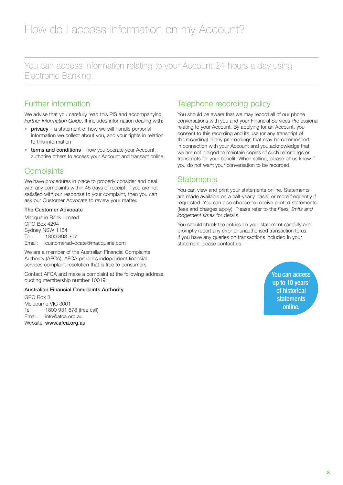You can access information relating to your Account 24-hours a day using Electronic Banking.

### Further information

We advise that you carefully read this PIS and accompanying *Further Information Guide*. It includes information dealing with:

- privacy a statement of how we will handle personal information we collect about you, and your rights in relation to this information
- terms and conditions how you operate your Account, authorise others to access your Account and transact online.

### **Complaints**

We have procedures in place to properly consider and deal with any complaints within 45 days of receipt. If you are not satisfied with our response to your complaint, then you can ask our Customer Advocate to review your matter.

#### The Customer Advocate

Macquarie Bank Limited GPO Box 4294 Sydney NSW 1164 Tel: 1800 898 307 Email: [customeradvocate@macquarie.com](mailto:customeradvocate@macquarie.com)

We are a member of the Australian Financial Complaints Authority (AFCA). AFCA provides independent financial services complaint resolution that is free to consumers.

Contact AFCA and make a complaint at the following address, quoting membership number 10019:

#### Australian Financial Complaints Authority

GPO Box 3 Melbourne VIC 3001 Tel: 1800 931 678 (free call) Email: [info@afca.org.au](mailto:info@afca.org.au) Website: <www.afca.org.au>

### Telephone recording policy

You should be aware that we may record all of our phone conversations with you and your Financial Services Professional relating to your Account. By applying for an Account, you consent to this recording and its use (or any transcript of the recording) in any proceedings that may be commenced in connection with your Account and you acknowledge that we are not obliged to maintain copies of such recordings or transcripts for your benefit. When calling, please let us know if you do not want your conversation to be recorded.

### **Statements**

You can view and print your statements online. Statements are made available on a half-yearly basis, or more frequently if requested. You can also choose to receive printed statements (fees and charges apply). Please refer to the *Fees, limits and lodgement times* for details.

You should check the entries on your statement carefully and promptly report any error or unauthorised transaction to us. If you have any queries on transactions included in your statement please contact us.

> You can **access** up to 10 years' of historical statements online.